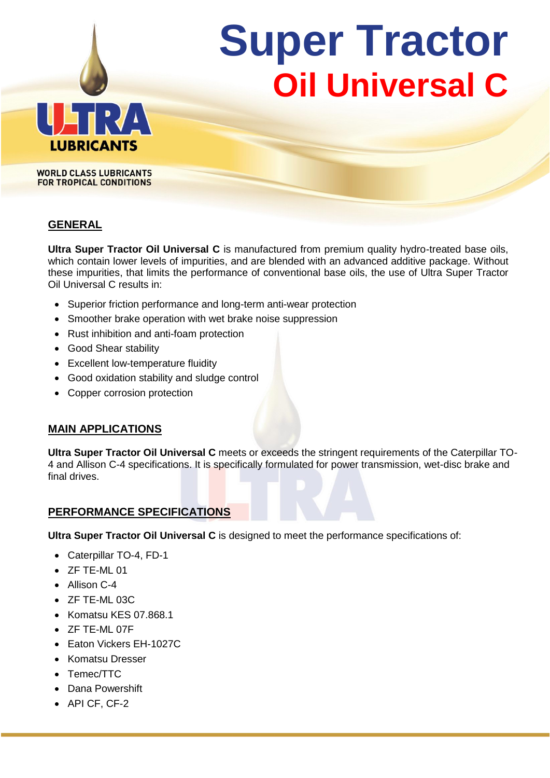# **Super Tractor Oil Universal C**



**WORLD CLASS LUBRICANTS FOR TROPICAL CONDITIONS** 

## **GENERAL**

**Ultra Super Tractor Oil Universal C** is manufactured from premium quality hydro-treated base oils, which contain lower levels of impurities, and are blended with an advanced additive package. Without these impurities, that limits the performance of conventional base oils, the use of Ultra Super Tractor Oil Universal C results in:

- Superior friction performance and long-term anti-wear protection
- Smoother brake operation with wet brake noise suppression
- Rust inhibition and anti-foam protection
- Good Shear stability
- Excellent low-temperature fluidity
- Good oxidation stability and sludge control
- Copper corrosion protection

## **MAIN APPLICATIONS**

**Ultra Super Tractor Oil Universal C** meets or exceeds the stringent requirements of the Caterpillar TO-4 and Allison C-4 specifications. It is specifically formulated for power transmission, wet-disc brake and final drives.

#### **PERFORMANCE SPECIFICATIONS**

**Ultra Super Tractor Oil Universal C** is designed to meet the performance specifications of:

- Caterpillar TO-4, FD-1
- ZF TE-ML 01
- Allison C-4
- $\bullet$  ZF TF-ML 03C
- Komatsu KES 07.868.1
- ZF TE-ML 07F
- Faton Vickers FH-1027C
- Komatsu Dresser
- Temec/TTC
- Dana Powershift
- API CF, CF-2